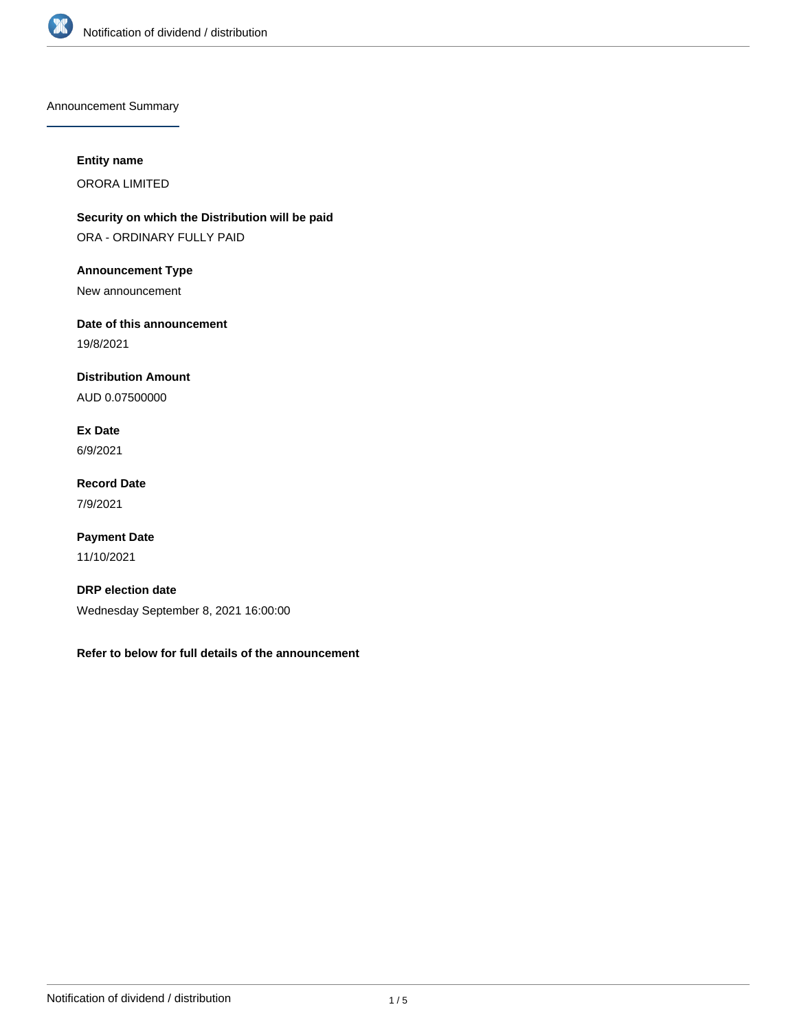

Announcement Summary

## **Entity name**

ORORA LIMITED

**Security on which the Distribution will be paid** ORA - ORDINARY FULLY PAID

**Announcement Type**

New announcement

**Date of this announcement**

19/8/2021

**Distribution Amount**

AUD 0.07500000

**Ex Date** 6/9/2021

**Record Date** 7/9/2021

**Payment Date** 11/10/2021

**DRP election date** Wednesday September 8, 2021 16:00:00

**Refer to below for full details of the announcement**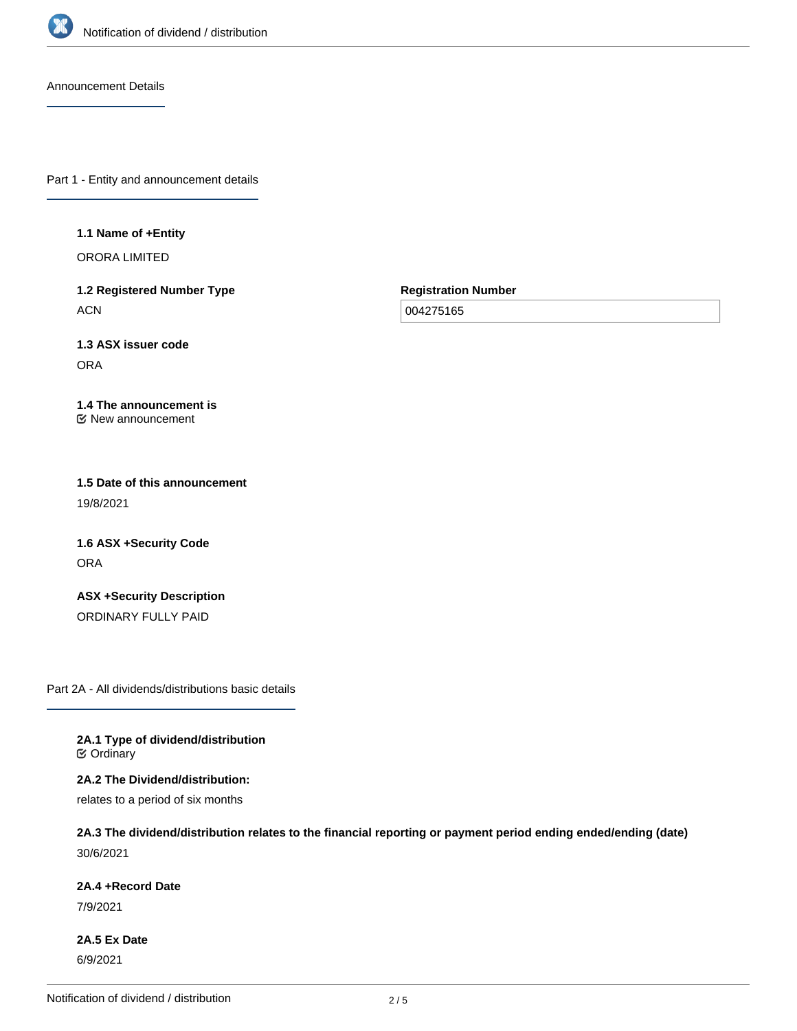

Announcement Details

Part 1 - Entity and announcement details

**1.1 Name of +Entity**

ORORA LIMITED

**1.2 Registered Number Type ACN** 

**Registration Number**

004275165

**1.3 ASX issuer code** ORA

**1.4 The announcement is** New announcement

**1.5 Date of this announcement** 19/8/2021

**1.6 ASX +Security Code** ORA

**ASX +Security Description** ORDINARY FULLY PAID

Part 2A - All dividends/distributions basic details

**2A.1 Type of dividend/distribution C** Ordinary

**2A.2 The Dividend/distribution:** relates to a period of six months

**2A.3 The dividend/distribution relates to the financial reporting or payment period ending ended/ending (date)** 30/6/2021

**2A.4 +Record Date**

7/9/2021

**2A.5 Ex Date** 6/9/2021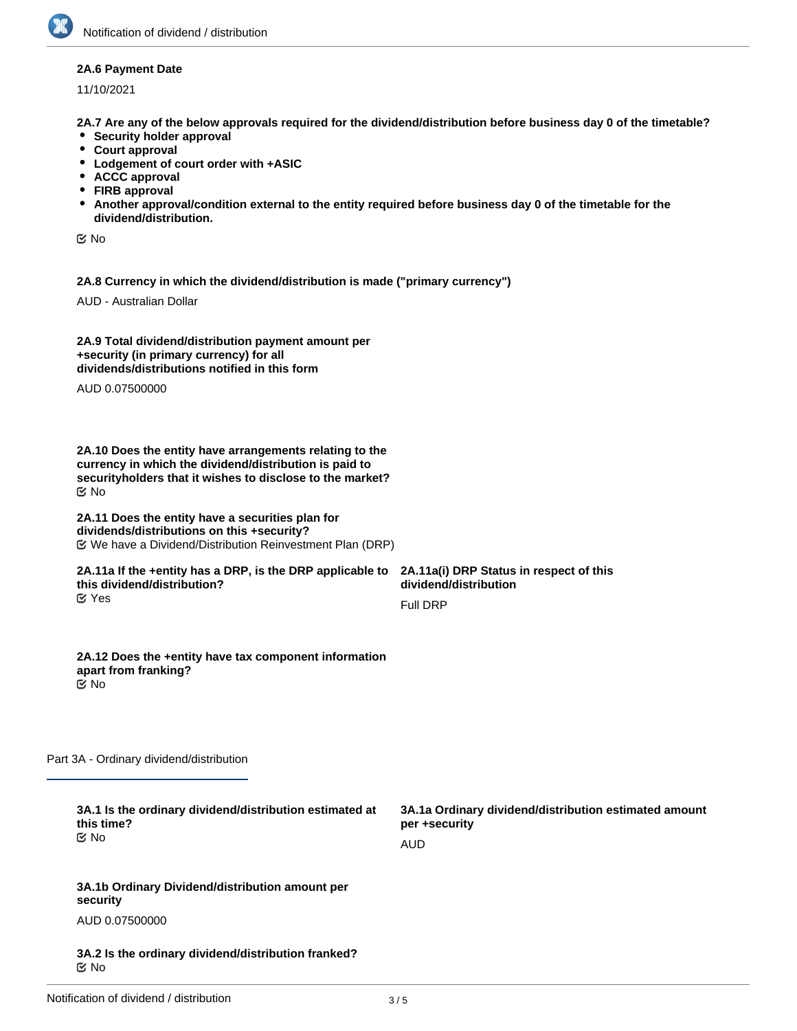### **2A.6 Payment Date**

11/10/2021

**2A.7 Are any of the below approvals required for the dividend/distribution before business day 0 of the timetable?**

- **•** Security holder approval
- **Court approval**
- **Lodgement of court order with +ASIC**
- **ACCC approval**
- **FIRB approval**
- **Another approval/condition external to the entity required before business day 0 of the timetable for the dividend/distribution.**

No

**2A.8 Currency in which the dividend/distribution is made ("primary currency")**

AUD - Australian Dollar

| 2A.9 Total dividend/distribution payment amount per |
|-----------------------------------------------------|
| +security (in primary currency) for all             |
| dividends/distributions notified in this form       |

AUD 0.07500000

**2A.10 Does the entity have arrangements relating to the currency in which the dividend/distribution is paid to securityholders that it wishes to disclose to the market?** No

#### **2A.11 Does the entity have a securities plan for dividends/distributions on this +security?** We have a Dividend/Distribution Reinvestment Plan (DRP)

#### **2A.11a If the +entity has a DRP, is the DRP applicable to this dividend/distribution?** Yes

**2A.11a(i) DRP Status in respect of this dividend/distribution**

Full DRP

**2A.12 Does the +entity have tax component information apart from franking?** No

Part 3A - Ordinary dividend/distribution

| 3A.1 Is the ordinary dividend/distribution estimated at |  |
|---------------------------------------------------------|--|
| this time?                                              |  |
| ା⊻ No                                                   |  |

**3A.1a Ordinary dividend/distribution estimated amount per +security** AUD

**3A.1b Ordinary Dividend/distribution amount per security**

AUD 0.07500000

**3A.2 Is the ordinary dividend/distribution franked?** No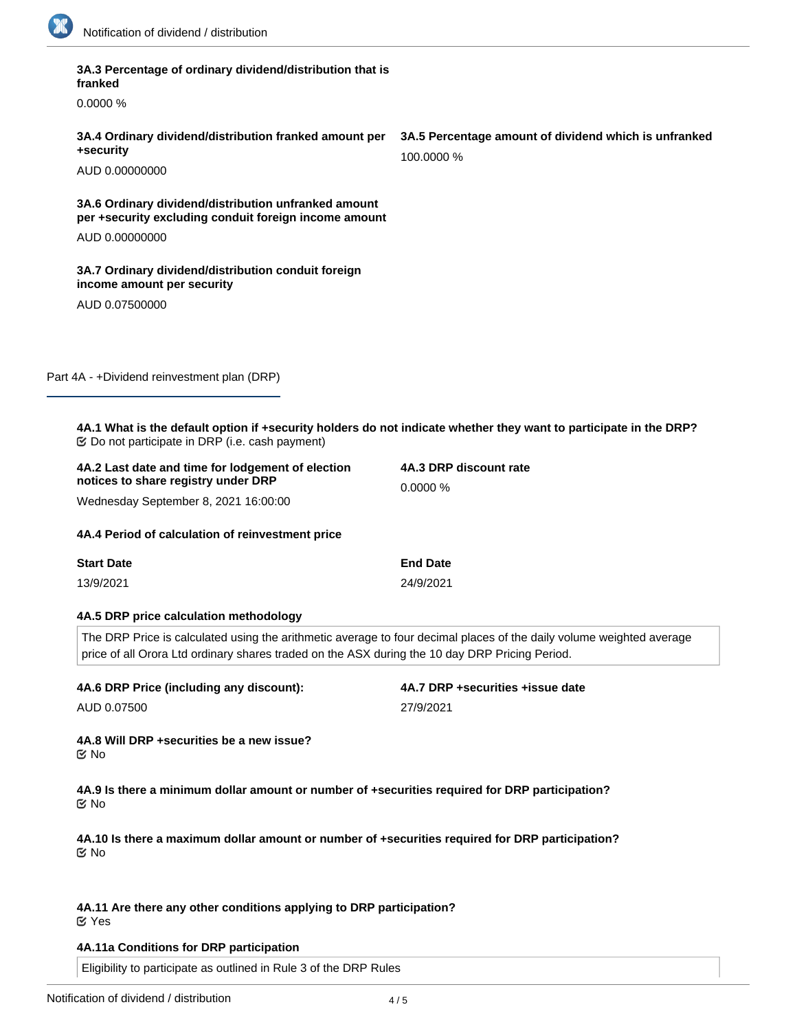

**3A.3 Percentage of ordinary dividend/distribution that is**

| franked                                                                                                              |                                                                                                                      |
|----------------------------------------------------------------------------------------------------------------------|----------------------------------------------------------------------------------------------------------------------|
| 0.0000 %                                                                                                             |                                                                                                                      |
| 3A.4 Ordinary dividend/distribution franked amount per<br>+security                                                  | 3A.5 Percentage amount of dividend which is unfranked<br>100,0000 %                                                  |
| AUD 0.00000000                                                                                                       |                                                                                                                      |
| 3A.6 Ordinary dividend/distribution unfranked amount<br>per +security excluding conduit foreign income amount        |                                                                                                                      |
| AUD 0.00000000                                                                                                       |                                                                                                                      |
| 3A.7 Ordinary dividend/distribution conduit foreign<br>income amount per security                                    |                                                                                                                      |
| AUD 0.07500000                                                                                                       |                                                                                                                      |
| Part 4A - +Dividend reinvestment plan (DRP)                                                                          |                                                                                                                      |
| <b> ©</b> Do not participate in DRP (i.e. cash payment)                                                              | 4A.1 What is the default option if +security holders do not indicate whether they want to participate in the DRP?    |
| 4A.2 Last date and time for lodgement of election<br>notices to share registry under DRP                             | 4A.3 DRP discount rate                                                                                               |
| Wednesday September 8, 2021 16:00:00                                                                                 | 0.0000 %                                                                                                             |
| 4A.4 Period of calculation of reinvestment price                                                                     |                                                                                                                      |
| <b>Start Date</b>                                                                                                    | <b>End Date</b>                                                                                                      |
| 13/9/2021                                                                                                            | 24/9/2021                                                                                                            |
| 4A.5 DRP price calculation methodology                                                                               |                                                                                                                      |
| price of all Orora Ltd ordinary shares traded on the ASX during the 10 day DRP Pricing Period.                       | The DRP Price is calculated using the arithmetic average to four decimal places of the daily volume weighted average |
| 4A.6 DRP Price (including any discount):                                                                             | 4A.7 DRP +securities +issue date                                                                                     |
| AUD 0.07500                                                                                                          | 27/9/2021                                                                                                            |
| 4A.8 Will DRP +securities be a new issue?<br>Mo No                                                                   |                                                                                                                      |
| 4A.9 Is there a minimum dollar amount or number of +securities required for DRP participation?<br>় No               |                                                                                                                      |
| 4A.10 Is there a maximum dollar amount or number of +securities required for DRP participation?<br>$\mathfrak{C}$ No |                                                                                                                      |
| 4A.11 Are there any other conditions applying to DRP participation?<br><b>で Yes</b>                                  |                                                                                                                      |
| 4A.11a Conditions for DRP participation                                                                              |                                                                                                                      |
| Eligibility to participate as outlined in Rule 3 of the DRP Rules                                                    |                                                                                                                      |